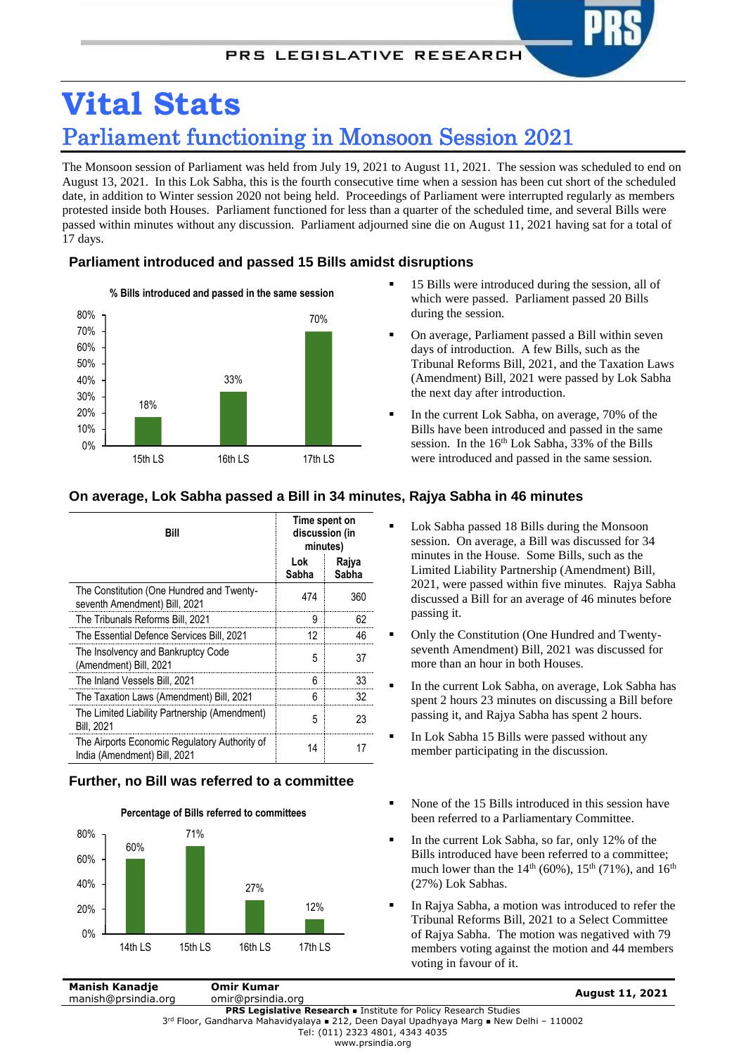# **Vital Stats** Parliament functioning in Monsoon Session 2021

The Monsoon session of Parliament was held from July 19, 2021 to August 11, 2021. The session was scheduled to end on August 13, 2021. In this Lok Sabha, this is the fourth consecutive time when a session has been cut short of the scheduled date, in addition to Winter session 2020 not being held. Proceedings of Parliament were interrupted regularly as members protested inside both Houses. Parliament functioned for less than a quarter of the scheduled time, and several Bills were passed within minutes without any discussion. Parliament adjourned sine die on August 11, 2021 having sat for a total of 17 days.

### **Parliament introduced and passed 15 Bills amidst disruptions**



- 15 Bills were introduced during the session, all of which were passed. Parliament passed 20 Bills during the session.
- On average, Parliament passed a Bill within seven days of introduction. A few Bills, such as the Tribunal Reforms Bill, 2021, and the Taxation Laws (Amendment) Bill, 2021 were passed by Lok Sabha the next day after introduction.
- In the current Lok Sabha, on average, 70% of the Bills have been introduced and passed in the same session. In the 16<sup>th</sup> Lok Sabha, 33% of the Bills were introduced and passed in the same session.

 Lok Sabha passed 18 Bills during the Monsoon session. On average, a Bill was discussed for 34 minutes in the House. Some Bills, such as the

| Bill                                                                          | Time spent on<br>discussion (in<br>minutes) |                |
|-------------------------------------------------------------------------------|---------------------------------------------|----------------|
|                                                                               | Lok<br>Sabha                                | Raiva<br>Sabha |
| The Constitution (One Hundred and Twenty-<br>seventh Amendment) Bill, 2021    | 474                                         | 360            |
| The Tribunals Reforms Bill, 2021                                              | 9                                           | 62             |
| The Essential Defence Services Bill, 2021                                     | 12                                          | 46             |
| The Insolvency and Bankruptcy Code<br>(Amendment) Bill, 2021                  | 5                                           | 37             |
| The Inland Vessels Bill, 2021                                                 | 6                                           | 33             |
| The Taxation Laws (Amendment) Bill, 2021                                      | 6                                           | 32             |
| The Limited Liability Partnership (Amendment)<br><b>Bill, 2021</b>            | 5                                           | 23             |
| The Airports Economic Regulatory Authority of<br>India (Amendment) Bill, 2021 | 14                                          |                |

## **On average, Lok Sabha passed a Bill in 34 minutes, Rajya Sabha in 46 minutes**

## **Further, no Bill was referred to a committee**



- more than an hour in both Houses. In the current Lok Sabha, on average, Lok Sabha has spent 2 hours 23 minutes on discussing a Bill before passing it, and Rajya Sabha has spent 2 hours.
- In Lok Sabha 15 Bills were passed without any member participating in the discussion.
- None of the 15 Bills introduced in this session have been referred to a Parliamentary Committee.
- In the current Lok Sabha, so far, only 12% of the Bills introduced have been referred to a committee; much lower than the  $14^{th}$  (60%),  $15^{th}$  (71%), and  $16^{th}$ (27%) Lok Sabhas.
- In Rajya Sabha, a motion was introduced to refer the Tribunal Reforms Bill, 2021 to a Select Committee of Rajya Sabha. The motion was negatived with 79 members voting against the motion and 44 members voting in favour of it.

**Manish Kanadje** manish@prsindia.org **Omir Kumar**

www.prsindia.org

Limited Liability Partnership (Amendment) Bill, 2021, were passed within five minutes. Rajya Sabha discussed a Bill for an average of 46 minutes before passing it. Only the Constitution (One Hundred and Twentyseventh Amendment) Bill, 2021 was discussed for

**PRS Legislative Research . Institute for Policy Research Studies** 3<sup>rd</sup> Floor, Gandharva Mahavidyalaya **■ 212, Deen Dayal Upadhyaya Marg ■ New Delhi - 110002** Tel: (011) 2323 4801, 4343 4035